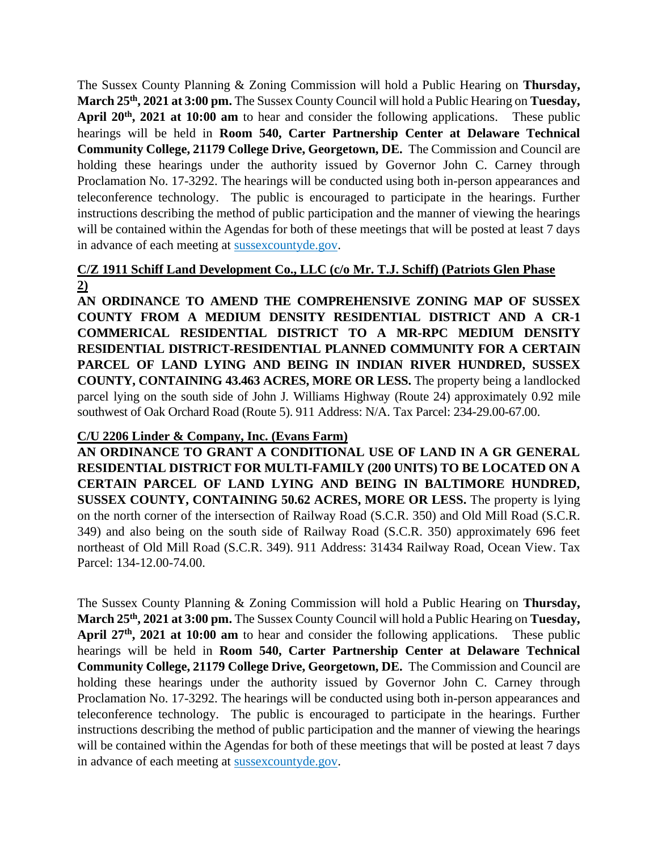The Sussex County Planning & Zoning Commission will hold a Public Hearing on **Thursday, March 25th, 2021 at 3:00 pm.** The Sussex County Council will hold a Public Hearing on **Tuesday, April 20th, 2021 at 10:00 am** to hear and consider the following applications.These public hearings will be held in **Room 540, Carter Partnership Center at Delaware Technical Community College, 21179 College Drive, Georgetown, DE.** The Commission and Council are holding these hearings under the authority issued by Governor John C. Carney through Proclamation No. 17-3292. The hearings will be conducted using both in-person appearances and teleconference technology. The public is encouraged to participate in the hearings. Further instructions describing the method of public participation and the manner of viewing the hearings will be contained within the Agendas for both of these meetings that will be posted at least 7 days in advance of each meeting at sussexcountyde.gov.

## **C/Z 1911 Schiff Land Development Co., LLC (c/o Mr. T.J. Schiff) (Patriots Glen Phase 2)**

**AN ORDINANCE TO AMEND THE COMPREHENSIVE ZONING MAP OF SUSSEX COUNTY FROM A MEDIUM DENSITY RESIDENTIAL DISTRICT AND A CR-1 COMMERICAL RESIDENTIAL DISTRICT TO A MR-RPC MEDIUM DENSITY RESIDENTIAL DISTRICT-RESIDENTIAL PLANNED COMMUNITY FOR A CERTAIN PARCEL OF LAND LYING AND BEING IN INDIAN RIVER HUNDRED, SUSSEX COUNTY, CONTAINING 43.463 ACRES, MORE OR LESS.** The property being a landlocked parcel lying on the south side of John J. Williams Highway (Route 24) approximately 0.92 mile southwest of Oak Orchard Road (Route 5). 911 Address: N/A. Tax Parcel: 234-29.00-67.00.

## **C/U 2206 Linder & Company, Inc. (Evans Farm)**

**AN ORDINANCE TO GRANT A CONDITIONAL USE OF LAND IN A GR GENERAL RESIDENTIAL DISTRICT FOR MULTI-FAMILY (200 UNITS) TO BE LOCATED ON A CERTAIN PARCEL OF LAND LYING AND BEING IN BALTIMORE HUNDRED, SUSSEX COUNTY, CONTAINING 50.62 ACRES, MORE OR LESS.** The property is lying on the north corner of the intersection of Railway Road (S.C.R. 350) and Old Mill Road (S.C.R. 349) and also being on the south side of Railway Road (S.C.R. 350) approximately 696 feet northeast of Old Mill Road (S.C.R. 349). 911 Address: 31434 Railway Road, Ocean View. Tax Parcel: 134-12.00-74.00.

The Sussex County Planning & Zoning Commission will hold a Public Hearing on **Thursday, March 25th, 2021 at 3:00 pm.** The Sussex County Council will hold a Public Hearing on **Tuesday, April 27th, 2021 at 10:00 am** to hear and consider the following applications.These public hearings will be held in **Room 540, Carter Partnership Center at Delaware Technical Community College, 21179 College Drive, Georgetown, DE.** The Commission and Council are holding these hearings under the authority issued by Governor John C. Carney through Proclamation No. 17-3292. The hearings will be conducted using both in-person appearances and teleconference technology. The public is encouraged to participate in the hearings. Further instructions describing the method of public participation and the manner of viewing the hearings will be contained within the Agendas for both of these meetings that will be posted at least 7 days in advance of each meeting at sussexcountyde.gov.